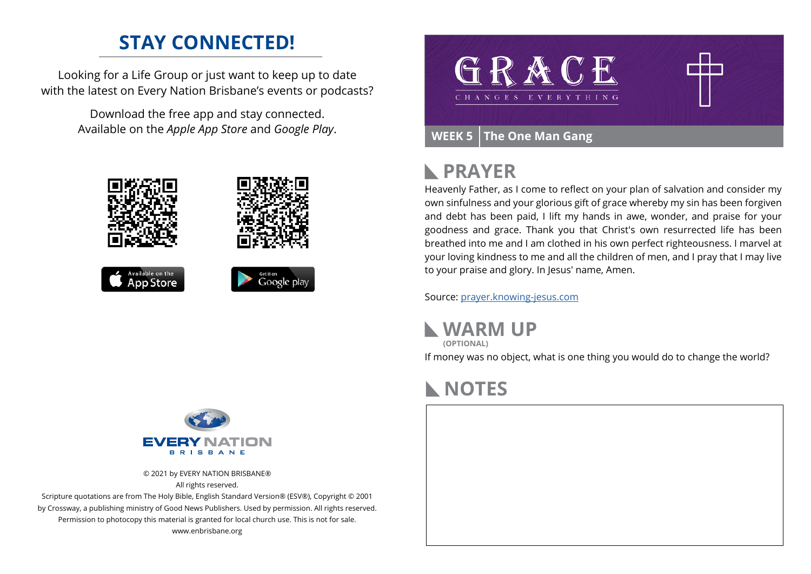## **STAY CONNECTED!**

Looking for a Life Group or just want to keep up to date with the latest on Every Nation Brisbane's events or podcasts?

> Download the free app and stay connected. Available on the *Apple App Store* and *Google Play*.





© 2021 by EVERY NATION BRISBANE® All rights reserved.

Scripture quotations are from The Holy Bible, English Standard Version® (ESV®), Copyright © 2001 by Crossway, a publishing ministry of Good News Publishers. Used by permission. All rights reserved. Permission to photocopy this material is granted for local church use. This is not for sale. www.enbrisbane.org



### **PRAYER**  $\mathbb{R}$

Heavenly Father, as I come to reflect on your plan of salvation and consider my own sinfulness and your glorious gift of grace whereby my sin has been forgiven and debt has been paid, I lift my hands in awe, wonder, and praise for your goodness and grace. Thank you that Christ's own resurrected life has been breathed into me and I am clothed in his own perfect righteousness. I marvel at your loving kindness to me and all the children of men, and I pray that I may live to your praise and glory. In Jesus' name, Amen.

Source: [prayer.knowing-jesus.com](https://prayer.knowing-jesus.com/Romans/5)

**WARM UP**

**(OPTIONAL)**

If money was no object, what is one thing you would do to change the world?

# **NOTES**